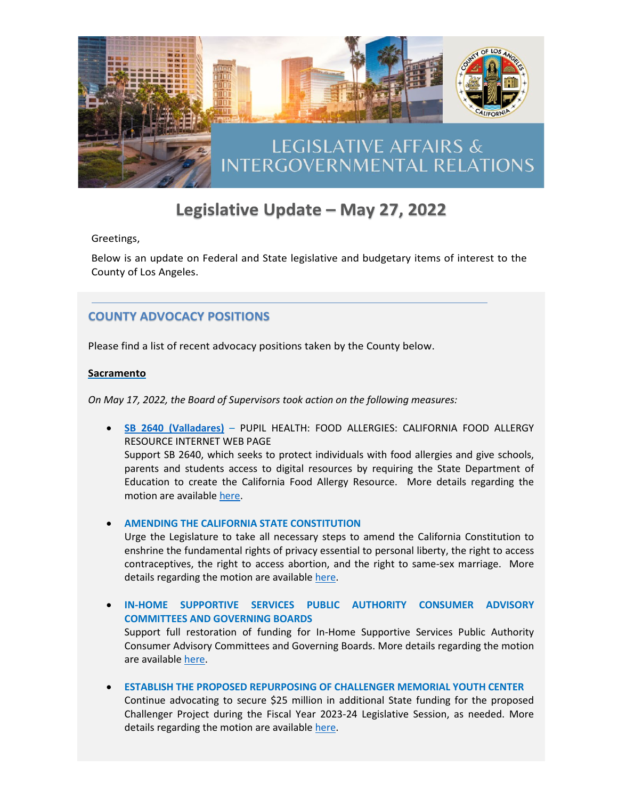

# Legislative Update - May 27, 2022

Greetings,

Below is an update on Federal and State legislative and budgetary items of interest to the County of Los Angeles.

# **COUNTY ADVOCACY POSITIONS**

Please find a list of recent advocacy positions taken by the County below.

## **Sacramento**

*On May 17, 2022, the Board of Supervisors took action on the following measures:*

• **[SB 2640 \(Valladares\)](https://leginfo.legislature.ca.gov/faces/billNavClient.xhtml?bill_id=202120220AB2640)** – PUPIL HEALTH: FOOD ALLERGIES: CALIFORNIA FOOD ALLERGY RESOURCE INTERNET WEB PAGE Support SB 2640, which seeks to protect individuals with food allergies and give schools,

parents and students access to digital resources by requiring the State Department of Education to create the California Food Allergy Resource. More details regarding the motion are available [here.](http://file.lacounty.gov/SDSInter/bos/supdocs/169040.pdf)

# • **AMENDING THE CALIFORNIA STATE CONSTITUTION**

Urge the Legislature to take all necessary steps to amend the California Constitution to enshrine the fundamental rights of privacy essential to personal liberty, the right to access contraceptives, the right to access abortion, and the right to same-sex marriage. More details regarding the motion are available [here.](http://file.lacounty.gov/SDSInter/bos/supdocs/169070.pdf)

• **IN-HOME SUPPORTIVE SERVICES PUBLIC AUTHORITY CONSUMER ADVISORY COMMITTEES AND GOVERNING BOARDS** Support full restoration of funding for In-Home Supportive Services Public Authority

Consumer Advisory Committees and Governing Boards. More details regarding the motion are availabl[e here.](http://file.lacounty.gov/SDSInter/bos/supdocs/169016.pdf)

• **ESTABLISH THE PROPOSED REPURPOSING OF CHALLENGER MEMORIAL YOUTH CENTER**

Continue advocating to secure \$25 million in additional State funding for the proposed Challenger Project during the Fiscal Year 2023-24 Legislative Session, as needed. More details regarding the motion are available [here.](http://file.lacounty.gov/SDSInter/bos/supdocs/169074.pdf)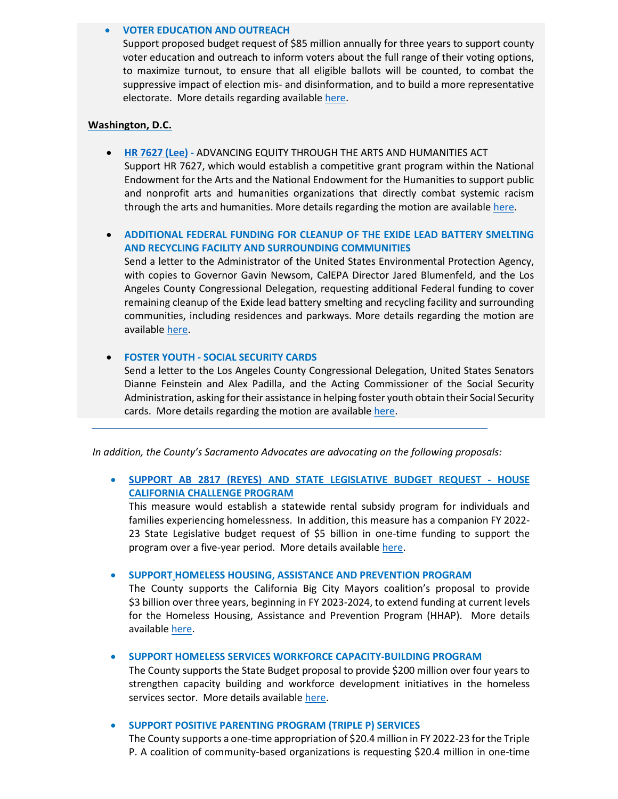#### • **VOTER EDUCATION AND OUTREACH**

Support proposed budget request of \$85 million annually for three years to support county voter education and outreach to inform voters about the full range of their voting options, to maximize turnout, to ensure that all eligible ballots will be counted, to combat the suppressive impact of election mis- and disinformation, and to build a more representative electorate. More details regarding available [here.](http://file.lacounty.gov/SDSInter/ceo/legi/1124656_PursuitofAdvocacyPositiononStateLegislativeBudgetRequestRelatedtoVoterEducationandOutreach-5_16_22.pdf)

#### **Washington, D.C.**

• **[HR 7627 \(Lee\) -](https://www.congress.gov/bill/117th-congress/house-bill/7627?q=%7B%22search%22%3A%5B%227627%22%2C%227627%22%5D%7D&s=1&r=3)** ADVANCING EQUITY THROUGH THE ARTS AND HUMANITIES ACT Support HR 7627, which would establish a competitive grant program within the National Endowment for the Arts and the National Endowment for the Humanities to support public and nonprofit arts and humanities organizations that directly combat systemic racism through the arts and humanities. More details regarding the motion are available [here.](http://file.lacounty.gov/SDSInter/bos/supdocs/168997.pdf)

# • **ADDITIONAL FEDERAL FUNDING FOR CLEANUP OF THE EXIDE LEAD BATTERY SMELTING AND RECYCLING FACILITY AND SURROUNDING COMMUNITIES**

Send a letter to the Administrator of the United States Environmental Protection Agency, with copies to Governor Gavin Newsom, CalEPA Director Jared Blumenfeld, and the Los Angeles County Congressional Delegation, requesting additional Federal funding to cover remaining cleanup of the Exide lead battery smelting and recycling facility and surrounding communities, including residences and parkways. More details regarding the motion are availabl[e here.](http://file.lacounty.gov/SDSInter/bos/supdocs/169065.pdf)

## • **FOSTER YOUTH - SOCIAL SECURITY CARDS**

Send a letter to the Los Angeles County Congressional Delegation, United States Senators Dianne Feinstein and Alex Padilla, and the Acting Commissioner of the Social Security Administration, asking for their assistance in helping foster youth obtain their Social Security cards. More details regarding the motion are available [here.](http://file.lacounty.gov/SDSInter/bos/supdocs/168967.pdf)

*In addition, the County's Sacramento Advocates are advocating on the following proposals:* 

• **[SUPPORT AB 2817 \(REYES\)](https://leginfo.legislature.ca.gov/faces/billNavClient.xhtml?bill_id=202120220AB2817) AND STATE LEGISLATIVE BUDGET REQUEST - HOUSE CALIFORNIA CHALLENGE PROGRAM**

This measure would establish a statewide rental subsidy program for individuals and families experiencing homelessness. In addition, this measure has a companion FY 2022- 23 State Legislative budget request of \$5 billion in one-time funding to support the program over a five-year period. More details availabl[e here.](http://file.lacounty.gov/SDSInter/ceo/legi/1124454_Sacramento_Eblast_HomelessFunding_051822.link.pdf)

• **SUPPORT HOMELESS HOUSING, ASSISTANCE AND PREVENTION PROGRAM**

The County supports the California Big City Mayors coalition's proposal to provide \$3 billion over three years, beginning in FY 2023-2024, to extend funding at current levels for the Homeless Housing, Assistance and Prevention Program (HHAP). More details availabl[e here.](http://file.lacounty.gov/SDSInter/ceo/legi/1124454_Sacramento_Eblast_HomelessFunding_051822.link.pdf)

## • **SUPPORT HOMELESS SERVICES WORKFORCE CAPACITY-BUILDING PROGRAM**

The County supports the State Budget proposal to provide \$200 million over four years to strengthen capacity building and workforce development initiatives in the homeless services sector. More details available [here.](http://file.lacounty.gov/SDSInter/ceo/legi/1124454_Sacramento_Eblast_HomelessFunding_051822.link.pdf)

#### • **SUPPORT POSITIVE PARENTING PROGRAM (TRIPLE P) SERVICES**

The County supports a one-time appropriation of \$20.4 million in FY 2022-23 for the Triple P. A coalition of community-based organizations is requesting \$20.4 million in one-time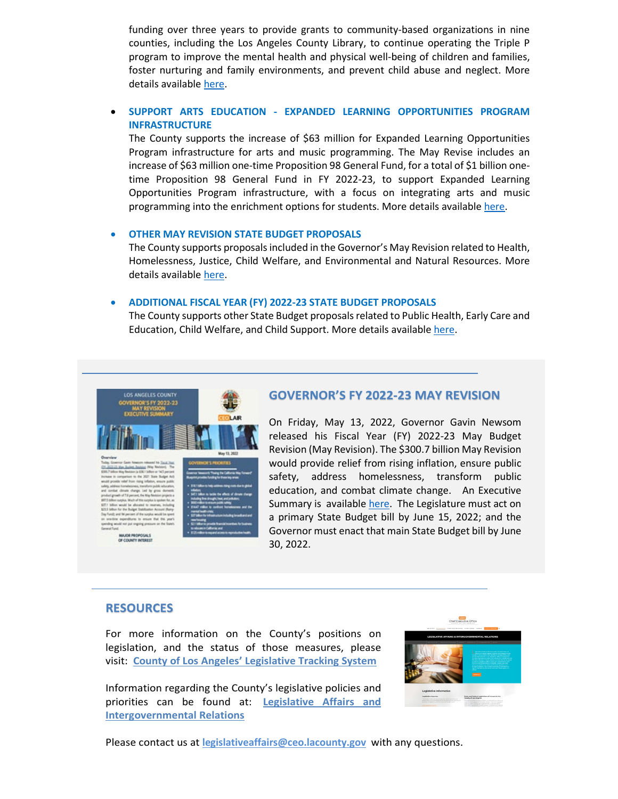funding over three years to provide grants to community-based organizations in nine counties, including the Los Angeles County Library, to continue operating the Triple P program to improve the mental health and physical well-being of children and families, foster nurturing and family environments, and prevent child abuse and neglect. More details available [here.](http://file.lacounty.gov/SDSInter/ceo/legi/1124565_PursuitLinkedDocment-BudgetProposalsLibraryandArtsEducation051922.pdf)

# • **SUPPORT ARTS EDUCATION - EXPANDED LEARNING OPPORTUNITIES PROGRAM INFRASTRUCTURE**

The County supports the increase of \$63 million for Expanded Learning Opportunities Program infrastructure for arts and music programming. The May Revise includes an increase of \$63 million one-time Proposition 98 General Fund, for a total of \$1 billion onetime Proposition 98 General Fund in FY 2022-23, to support Expanded Learning Opportunities Program infrastructure, with a focus on integrating arts and music programming into the enrichment options for students. More details available [here.](http://file.lacounty.gov/SDSInter/ceo/legi/1124565_PursuitLinkedDocment-BudgetProposalsLibraryandArtsEducation051922.pdf)

#### • **OTHER MAY REVISION STATE BUDGET PROPOSALS**

The County supports proposals included in the Governor's May Revision related to Health, Homelessness, Justice, Child Welfare, and Environmental and Natural Resources. More details available [here.](http://file.lacounty.gov/SDSInter/ceo/legi/1124726_eblast_MayReviseProposal_Attachment_52722.pdf)

#### • **ADDITIONAL FISCAL YEAR (FY) 2022-23 STATE BUDGET PROPOSALS**

The County supports other State Budget proposals related to Public Health, Early Care and Education, Child Welfare, and Child Support. More details available [here.](http://file.lacounty.gov/SDSInter/ceo/legi/1124727_eblast_OtherStateBudgetProposal_Attachment_52722.pdf)



MAJOR PROPOSA



# **GOVERNOR'S FY 2022-23 MAY REVISION**

On Friday, May 13, 2022, Governor Gavin Newsom released his Fiscal Year (FY) 2022-23 May Budget Revision (May Revision). The \$300.7 billion May Revision would provide relief from rising inflation, ensure public safety, address homelessness, transform public education, and combat climate change. An Executive Summary is available [here.](http://file.lacounty.gov/SDSInter/ceo/legi/1124649_LosAngelesCounty_Governor_sFY2022-23MayBudgetRevision.pdf) The Legislature must act on a primary State Budget bill by June 15, 2022; and the Governor must enact that main State Budget bill by June 30, 2022.

## **RESOURCES**

For more information on the County's positions on legislation, and the status of those measures, please visit: **[County of Los Angeles' Legislative Tracking System](https://ceo.lacounty.gov/county-of-los-angeles-legislative-tracking-system/)**

Information regarding the County's legislative policies and priorities can be found at: **[Legislative Affairs and](https://ceo.lacounty.gov/legislative-affairs-and-intergovernmental-relations/)  [Intergovernmental Relations](https://ceo.lacounty.gov/legislative-affairs-and-intergovernmental-relations/)**



Please contact us at **[legislativeaffairs@ceo.lacounty.gov](mailto:legislativeaffairs@ceo.lacounty.gov)** with any questions.